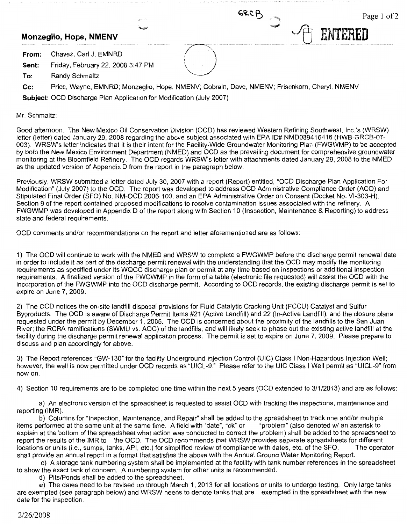**From:** Chavez, Carl J, EMNRD

**Sent:** Friday, February 22, 2008 3:47 PM

**To:** Randy Schmaltz

**Cc:** Price, Wayne, EMNRD; Monzeglio, Hope, NMENV; Cobrain, Dave, NMENV; Frischkorn, Cheryl, NMENV

**Subject:** OCD Discharge Plan Application for Modification (July 2007)

Mr. Schmaltz:

Good afternoon. The New Mexico Oil Conservation Division (OCD) has reviewed Western Refining Southwest, lnc.'s (WRSW) letter (letter) dated January 29, 2008 regarding the above subject associated with EPA ID# NMD089416416 (HWB-GRCB-07- 003). WRSW's letter indicates that it is their intent for the Facility-Wide Groundwater Monitoring Plan (FWGWMP) to be accepted by both the New Mexico Environment Department (NMED) and OCD as the prevailing document for comprehensive groundwater monitoring at the Bloomfield Refinery. The OCD regards WRSW's letter with attachments dated January 29, 2008 to the NMED as the updated version of Appendix D from the report in the paragraph below.

Previously, WRSW submitted a letter dated July 30, 2007 with a report (Report) entitled, "OCD Discharge Plan Application For Modification" (July 2007) to the OCD. The report was developed to address OCD Administrative Compliance Order (ACO) and Stipulated Final Order (SFO) No. NM-OCD 2006-100, and an EPA Administrative Order on Consent (Docket No. Vl-303-H). Section 9 of the report contained proposed modifications to resolve contamination issues associated with the refinery. A FWGWMP was developed in Appendix D of the report along with Section 10 (Inspection, Maintenance & Reporting) to address state and federal requirements.

OCD comments and/or recommendations on the report and letter aforementioned are as follows:

1) The OCD will continue to work with the NMED and WRSW to complete a FWGWMP before the discharge permit renewal date in order to include it as part of the discharge permit renewal with the understanding that the OCD may modify the monitoring requirements as specified under its WQCC discharge plan or permit at any time based on inspections or additional inspection requirements. A finalized version of the FWGWMP in the form of a table (electronic file requested) will assist the OCD with the incorporation of the FWGWMP into the OCD discharge permit. According to OCD records, the existing discharge permit is set to expire on June 7, 2009.

2) The OCD notices the on-site landfill disposal provisions for Fluid Catalytic Cracking Unit (FCCU) Catalyst and Sulfur Byproducts. The OCD is aware of Discharge Permit Items #21 (Active Landfill) and 22 (In-Active Landfill), and the closure plans requested under the permit by December 1, 2005. The OCD is concerned about the proximity of the landfills to the San Juan River; the RCRA ramifications (SWMU vs. AOC) of the landfills; and will likely seek to phase out the existing active landfill at the facility during the discharge permit renewal application process. The permit is set to expire on June 7, 2009. Please prepare to discuss and plan accordingly for above.

3) The Report references "GW-130" for the facility Underground Injection Control (UIC) Class I Non-Hazardous Injection Well; however, the well is now permitted under OCD records as "UICL-9." Please refer to the UIC Class I Well permit as "UICL-9" from now on.

4) Section 10 requirements are to be completed one time within the next 5 years (OCD extended to 3/1/2013) and are as follows:

a) An electronic version of the spreadsheet is requested to assist OCD with tracking the inspections, maintenance and reporting (IMR).

b) Columns for "Inspection, Maintenance, and Repair" shall be added to the spreadsheet to track one and/or multiple items performed at the same unit at the same time. A field with "date", "ok" or "problem" (also denoted w/ an asterisk to explain at the bottom of the spreadsheet what action was conducted to correct the problem) shall be added to the spreadsheet to report the results of the IMR to the OCD. The OCD recommends that WRSW provides separate spreadsheets for different<br>locations or units (i.e., sumps, tanks, APL etc.) for simplified review of compliance with dates, etc. of locations or units (i.e., sumps, tanks, API, etc.) for simplified review of compliance with dates, etc. of the SFO. shall provide an annual report in a format that satisfies the above with the Annual Ground Water Monitoring Report.

c) A storage tank numbering system shall be implemented at the facility with tank number references in the spreadsheet to show the exact tank of concern. A numbering system for other units is recommended.

d) Pits/Ponds shall be added to the spreadsheet.

e) The dates need to be revised up through March 1, 2013 for all locations or units to undergo testing. Only large tanks are exempted (see paragraph below) and WRSW needs to denote tanks that are exempted in the spreadsheet with the new date for the inspection.

Monzeglio, Hope, NMENV <del>Canadian Canadian Canadian Canadian Canadian Canadian Canadian Canadian Canadian Canadian C<br>
Monzeglio, Hope, NMENV Canadian Canadian Canadian Canadian Canadian Canadian Canadian Canadian Canadian C</del>